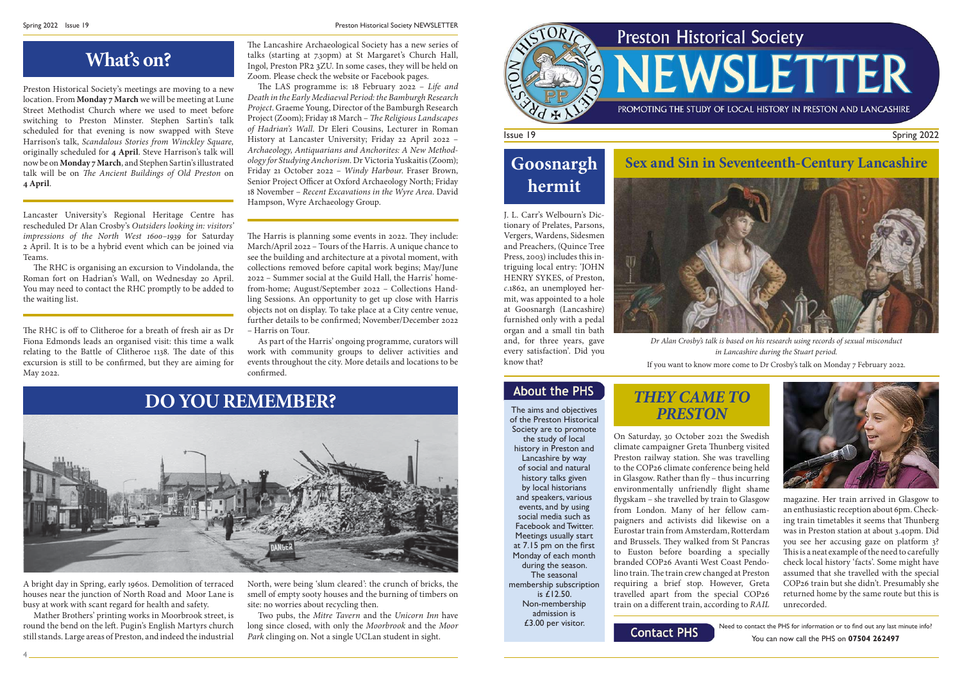### Issue 19

### Spring 2022

Need to contact the PHS for information or to find out any last minute info? You can now call the PHS on **07504 262497**

On Saturday, 30 October 2021 the Swedish climate campaigner Greta Thunberg visited Preston railway station. She was travelling to the COP26 climate conference being held in Glasgow. Rather than  $fly -$  thus incurring environmentally unfriendly flight shame flygskam – she travelled by train to Glasgow from London. Many of her fellow campaigners and activists did likewise on a Eurostar train from Amsterdam, Rotterdam and Brussels. They walked from St Pancras to Euston before boarding a specially branded COP26 Avanti West Coast Pendolino train. The train crew changed at Preston requiring a brief stop. However, Greta travelled apart from the special COP26 train on a different train, according to RAIL

**Contact PHS** 

The aims and objectives of the Preston Historical Society are to promote the study of local history in Preston and Lancashire by way of social and natural history talks given by local historians and speakers, various events, and by using social media such as Facebook and Twitter. Meetings usually start at 7.15 pm on the first  $\,$ Monday of each month during the season. The seasonal membership subscription is £12.50. Non-membership admission is £3.00 per visitor.

## **Goosnargh hermit**

## **What's on?**



magazine. Her train arrived in Glasgow to an enthusiastic reception about 6pm. Checking train timetables it seems that Thunberg was in Preston station at about 3.40pm. Did you see her accusing gaze on platform 3? This is a neat example of the need to carefully check local history 'facts'. Some might have assumed that she travelled with the special COP26 train but she didn't. Presumably she returned home by the same route but this is unrecorded.

The RHC is organising an excursion to Vindolanda, the Roman fort on Hadrian's Wall, on Wednesday 20 April. You may need to contact the RHC promptly to be added to the waiting list.

The RHC is off to Clitheroe for a breath of fresh air as Dr Fiona Edmonds leads an organised visit: this time a walk relating to the Battle of Clitheroe 1138. The date of this excursion is still to be confirmed, but they are aiming for May 2022.

## **THEY CAME TO PRESTON**

The Lancashire Archaeological Society has a new series of talks (starting at 7.30pm) at St Margaret's Church Hall, Ingol, Preston PR2 3ZU. In some cases, they will be held on Zoom. Please check the website or Facebook pages.

> J. L. Carr's Welbourn's Dictionary of Prelates, Parsons, Vergers, Wardens, Sidesmen and Preachers, (Quince Tree Press, 2003) includes this intriguing local entry: 'JOHN HENRY SYKES, of Preston, c.1862, an unemployed hermit, was appointed to a hole at Goosnargh (Lancashire) furnished only with a pedal organ and a small tin bath and, for three years, gave every satisfaction'. Did you know that?

The LAS programme is:  $18$  February 2022 – Life and Death in the Early Mediaeval Period: the Bamburgh Research Project. Graeme Young, Director of the Bamburgh Research Project (Zoom); Friday 18 March – *The Religious Landscapes* of Hadrian's Wall. Dr Eleri Cousins, Lecturer in Roman History at Lancaster University; Friday 22 April 2022 – Archaeology, Antiquarians and Anchorites: A New Methodology for Studying Anchorism. Dr Victoria Yuskaitis (Zoom); Friday 21 October 2022 – Windy Harbour. Fraser Brown, Senior Project Officer at Oxford Archaeology North; Friday 18 November – Recent Excavations in the Wyre Area. David Hampson, Wyre Archaeology Group.

### **Sex and Sin in Seventeenth-Century Lancashire**





Dr Alan Crosby's talk is based on his research using records of sexual misconduct in Lancashire during the Stuart period. If you want to know more come to Dr Crosby's talk on Monday 7 February 2022.

### **About the PHS**

The Harris is planning some events in 2022. They include: March/April 2022 – Tours of the Harris. A unique chance to see the building and architecture at a pivotal moment, with collections removed before capital work begins; May/June 2022 – Summer social at the Guild Hall, the Harris' homefrom-home; August/September 2022 – Collections Handling Sessions. An opportunity to get up close with Harris objects not on display. To take place at a City centre venue, further details to be confirmed: November/December 2022 – Harris on Tour.

As part of the Harris' ongoing programme, curators will work with community groups to deliver activities and events throughout the city. More details and locations to be confirmed.

Preston Historical Society's meetings are moving to a new location. From **Monday 7 March** we will be meeting at Lune Street Methodist Church where we used to meet before switching to Preston Minster. Stephen Sartin's talk scheduled for that evening is now swapped with Steve Harrison's talk, Scandalous Stories from Winckley Square, originally scheduled for **4 April**. Steve Harrison's talk will now be on **Monday 7 March**, and Stephen Sartin's illustrated talk will be on *The Ancient Buildings of Old Preston* on **4 April**.

Lancaster University's Regional Heritage Centre has rescheduled Dr Alan Crosby's Outsiders looking in: visitors' impressions of the North West 1600–1939 for Saturday 2 April. It is to be a hybrid event which can be joined via Teams.

A bright day in Spring, early 1960s. Demolition of terraced houses near the junction of North Road and Moor Lane is busy at work with scant regard for health and safety.

Mather Brothers' printing works in Moorbrook street, is round the bend on the left. Pugin's English Martyrs church still stands. Large areas of Preston, and indeed the industrial North, were being 'slum cleared': the crunch of bricks, the smell of empty sooty houses and the burning of timbers on site: no worries about recycling then.

Two pubs, the Mitre Tavern and the Unicorn Inn have long since closed, with only the Moorbrook and the Moor Park clinging on. Not a single UCLan student in sight.